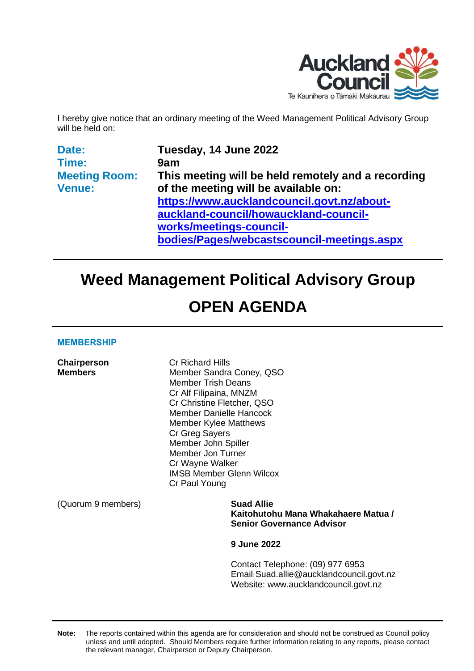

I hereby give notice that an ordinary meeting of the Weed Management Political Advisory Group will be held on:

| Date:                | Tuesday, 14 June 2022                              |
|----------------------|----------------------------------------------------|
| Time:                | 9am                                                |
| <b>Meeting Room:</b> | This meeting will be held remotely and a recording |
| <b>Venue:</b>        | of the meeting will be available on:               |
|                      | https://www.aucklandcouncil.govt.nz/about-         |
|                      | auckland-council/howauckland-council-              |
|                      | works/meetings-council-                            |
|                      | bodies/Pages/webcastscouncil-meetings.aspx         |

# **Weed Management Political Advisory Group**

# **OPEN AGENDA**

#### **MEMBERSHIP**

| <b>Chairperson</b><br><b>Members</b> | <b>Cr Richard Hills</b><br>Member Sandra Coney, QSO<br><b>Member Trish Deans</b><br>Cr Alf Filipaina, MNZM<br>Cr Christine Fletcher, QSO<br><b>Member Danielle Hancock</b><br><b>Member Kylee Matthews</b><br>Cr Greg Sayers<br>Member John Spiller<br>Member Jon Turner<br>Cr Wayne Walker<br><b>IMSB Member Glenn Wilcox</b><br>Cr Paul Young |
|--------------------------------------|-------------------------------------------------------------------------------------------------------------------------------------------------------------------------------------------------------------------------------------------------------------------------------------------------------------------------------------------------|
| (Quorum 9 members)                   | <b>Suad Allie</b><br>Kaitohutohu Mana Whakahaere Matua /<br><b>Senior Governance Advisor</b>                                                                                                                                                                                                                                                    |
|                                      | <b>9 June 2022</b>                                                                                                                                                                                                                                                                                                                              |
|                                      | Contact Telephone: (09) 977 6953<br>Email: Suad.allie@aucklandcouncil.govt.nz<br>Website: www.aucklandcouncil.govt.nz                                                                                                                                                                                                                           |

**Note:** The reports contained within this agenda are for consideration and should not be construed as Council policy unless and until adopted. Should Members require further information relating to any reports, please contact the relevant manager, Chairperson or Deputy Chairperson.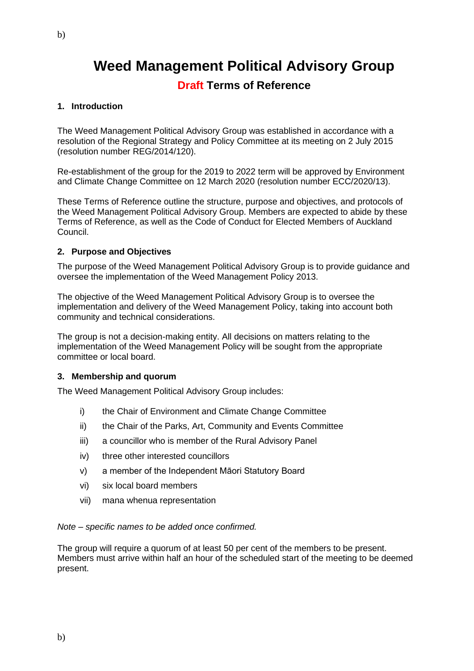## **Weed Management Political Advisory Group**

## **Draft Terms of Reference**

## **1. Introduction**

The Weed Management Political Advisory Group was established in accordance with a resolution of the Regional Strategy and Policy Committee at its meeting on 2 July 2015 (resolution number REG/2014/120).

Re-establishment of the group for the 2019 to 2022 term will be approved by Environment and Climate Change Committee on 12 March 2020 (resolution number ECC/2020/13).

These Terms of Reference outline the structure, purpose and objectives, and protocols of the Weed Management Political Advisory Group. Members are expected to abide by these Terms of Reference, as well as the Code of Conduct for Elected Members of Auckland Council.

## **2. Purpose and Objectives**

The purpose of the Weed Management Political Advisory Group is to provide guidance and oversee the implementation of the Weed Management Policy 2013.

The objective of the Weed Management Political Advisory Group is to oversee the implementation and delivery of the Weed Management Policy, taking into account both community and technical considerations.

The group is not a decision-making entity. All decisions on matters relating to the implementation of the Weed Management Policy will be sought from the appropriate committee or local board.

## **3. Membership and quorum**

The Weed Management Political Advisory Group includes:

- i) the Chair of Environment and Climate Change Committee
- ii) the Chair of the Parks, Art, Community and Events Committee
- iii) a councillor who is member of the Rural Advisory Panel
- iv) three other interested councillors
- v) a member of the Independent Māori Statutory Board
- vi) six local board members
- vii) mana whenua representation

#### *Note – specific names to be added once confirmed.*

The group will require a quorum of at least 50 per cent of the members to be present. Members must arrive within half an hour of the scheduled start of the meeting to be deemed present.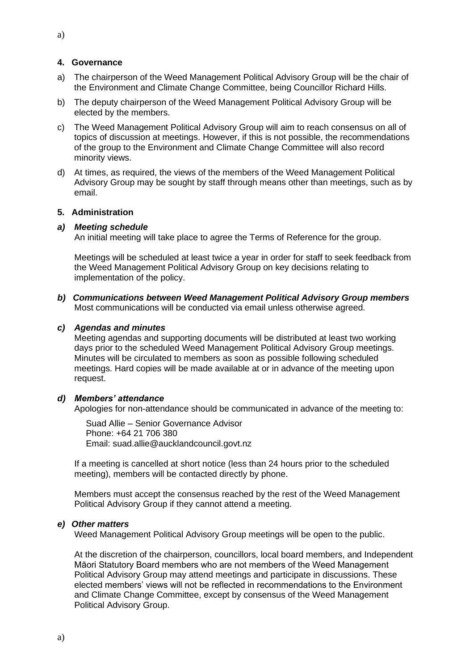### **4. Governance**

- a) The chairperson of the Weed Management Political Advisory Group will be the chair of the Environment and Climate Change Committee, being Councillor Richard Hills.
- b) The deputy chairperson of the Weed Management Political Advisory Group will be elected by the members.
- c) The Weed Management Political Advisory Group will aim to reach consensus on all of topics of discussion at meetings. However, if this is not possible, the recommendations of the group to the Environment and Climate Change Committee will also record minority views.
- d) At times, as required, the views of the members of the Weed Management Political Advisory Group may be sought by staff through means other than meetings, such as by email.

#### **5. Administration**

### *a) Meeting schedule*

An initial meeting will take place to agree the Terms of Reference for the group.

Meetings will be scheduled at least twice a year in order for staff to seek feedback from the Weed Management Political Advisory Group on key decisions relating to implementation of the policy.

*b) Communications between Weed Management Political Advisory Group members* Most communications will be conducted via email unless otherwise agreed.

### *c) Agendas and minutes*

Meeting agendas and supporting documents will be distributed at least two working days prior to the scheduled Weed Management Political Advisory Group meetings. Minutes will be circulated to members as soon as possible following scheduled meetings. Hard copies will be made available at or in advance of the meeting upon request.

## *d) Members' attendance*

Apologies for non-attendance should be communicated in advance of the meeting to:

Suad Allie – Senior Governance Advisor Phone: +64 21 706 380 Email: suad.allie@aucklandcouncil.govt.nz

If a meeting is cancelled at short notice (less than 24 hours prior to the scheduled meeting), members will be contacted directly by phone.

Members must accept the consensus reached by the rest of the Weed Management Political Advisory Group if they cannot attend a meeting.

#### *e) Other matters*

Weed Management Political Advisory Group meetings will be open to the public.

At the discretion of the chairperson, councillors, local board members, and Independent Māori Statutory Board members who are not members of the Weed Management Political Advisory Group may attend meetings and participate in discussions. These elected members' views will not be reflected in recommendations to the Environment and Climate Change Committee, except by consensus of the Weed Management Political Advisory Group.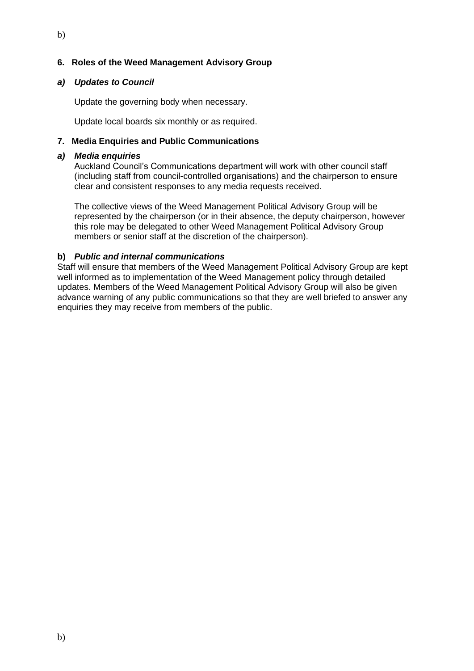## **6. Roles of the Weed Management Advisory Group**

## *a) Updates to Council*

Update the governing body when necessary.

Update local boards six monthly or as required.

## **7. Media Enquiries and Public Communications**

### *a) Media enquiries*

Auckland Council's Communications department will work with other council staff (including staff from council-controlled organisations) and the chairperson to ensure clear and consistent responses to any media requests received.

The collective views of the Weed Management Political Advisory Group will be represented by the chairperson (or in their absence, the deputy chairperson, however this role may be delegated to other Weed Management Political Advisory Group members or senior staff at the discretion of the chairperson).

## **b)** *Public and internal communications*

Staff will ensure that members of the Weed Management Political Advisory Group are kept well informed as to implementation of the Weed Management policy through detailed updates. Members of the Weed Management Political Advisory Group will also be given advance warning of any public communications so that they are well briefed to answer any enquiries they may receive from members of the public.

b)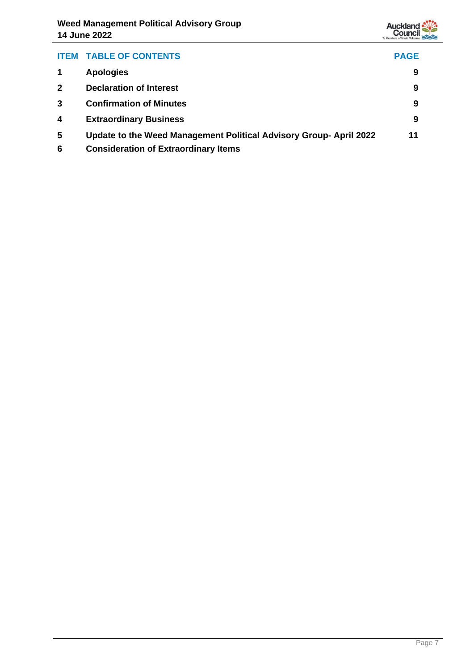

| <b>ITEM</b> | <b>TABLE OF CONTENTS</b>                                          | <b>PAGE</b> |
|-------------|-------------------------------------------------------------------|-------------|
|             | <b>Apologies</b>                                                  | 9           |
|             | <b>Declaration of Interest</b>                                    | 9           |
| 3           | <b>Confirmation of Minutes</b>                                    | 9           |
| 4           | <b>Extraordinary Business</b>                                     | 9           |
| 5           | Update to the Weed Management Political Advisory Group-April 2022 | 11          |

**6 Consideration of Extraordinary Items**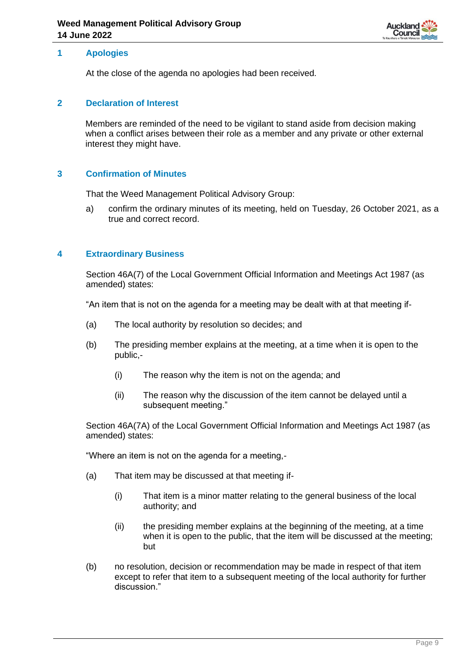

## <span id="page-8-0"></span>**1 Apologies**

At the close of the agenda no apologies had been received.

### <span id="page-8-1"></span>**2 Declaration of Interest**

Members are reminded of the need to be vigilant to stand aside from decision making when a conflict arises between their role as a member and any private or other external interest they might have.

## <span id="page-8-2"></span>**3 Confirmation of Minutes**

That the Weed Management Political Advisory Group:

a) confirm the ordinary minutes of its meeting, held on Tuesday, 26 October 2021, as a true and correct record.

### <span id="page-8-3"></span>**4 Extraordinary Business**

Section 46A(7) of the Local Government Official Information and Meetings Act 1987 (as amended) states:

"An item that is not on the agenda for a meeting may be dealt with at that meeting if-

- (a) The local authority by resolution so decides; and
- (b) The presiding member explains at the meeting, at a time when it is open to the public,-
	- (i) The reason why the item is not on the agenda; and
	- (ii) The reason why the discussion of the item cannot be delayed until a subsequent meeting."

Section 46A(7A) of the Local Government Official Information and Meetings Act 1987 (as amended) states:

"Where an item is not on the agenda for a meeting,-

- (a) That item may be discussed at that meeting if-
	- (i) That item is a minor matter relating to the general business of the local authority; and
	- (ii) the presiding member explains at the beginning of the meeting, at a time when it is open to the public, that the item will be discussed at the meeting; but
- (b) no resolution, decision or recommendation may be made in respect of that item except to refer that item to a subsequent meeting of the local authority for further discussion."